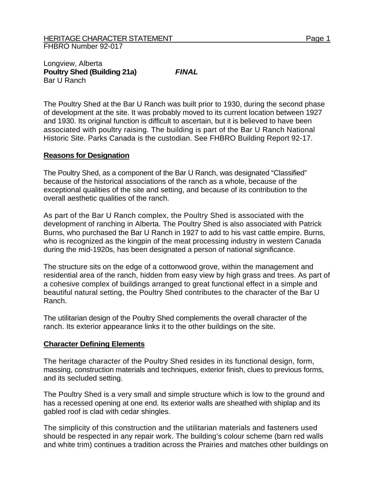## Longview, Alberta **Poultry Shed (Building 21a)** *FINAL*  Bar U Ranch

The Poultry Shed at the Bar U Ranch was built prior to 1930, during the second phase of development at the site. It was probably moved to its current location between 1927 and 1930. Its original function is difficult to ascertain, but it is believed to have been associated with poultry raising. The building is part of the Bar U Ranch National Historic Site. Parks Canada is the custodian. See FHBRO Building Report 92-17.

## **Reasons for Designation**

The Poultry Shed, as a component of the Bar U Ranch, was designated "Classified" because of the historical associations of the ranch as a whole, because of the exceptional qualities of the site and setting, and because of its contribution to the overall aesthetic qualities of the ranch.

As part of the Bar U Ranch complex, the Poultry Shed is associated with the development of ranching in Alberta. The Poultry Shed is also associated with Patrick Burns, who purchased the Bar U Ranch in 1927 to add to his vast cattle empire. Burns, who is recognized as the kingpin of the meat processing industry in western Canada during the mid-1920s, has been designated a person of national significance.

The structure sits on the edge of a cottonwood grove, within the management and residential area of the ranch, hidden from easy view by high grass and trees. As part of a cohesive complex of buildings arranged to great functional effect in a simple and beautiful natural setting, the Poultry Shed contributes to the character of the Bar U Ranch.

The utilitarian design of the Poultry Shed complements the overall character of the ranch. Its exterior appearance links it to the other buildings on the site.

## **Character Defining Elements**

The heritage character of the Poultry Shed resides in its functional design, form, massing, construction materials and techniques, exterior finish, clues to previous forms, and its secluded setting.

The Poultry Shed is a very small and simple structure which is low to the ground and has a recessed opening at one end. Its exterior walls are sheathed with shiplap and its gabled roof is clad with cedar shingles.

The simplicity of this construction and the utilitarian materials and fasteners used should be respected in any repair work. The building's colour scheme (barn red walls and white trim) continues a tradition across the Prairies and matches other buildings on